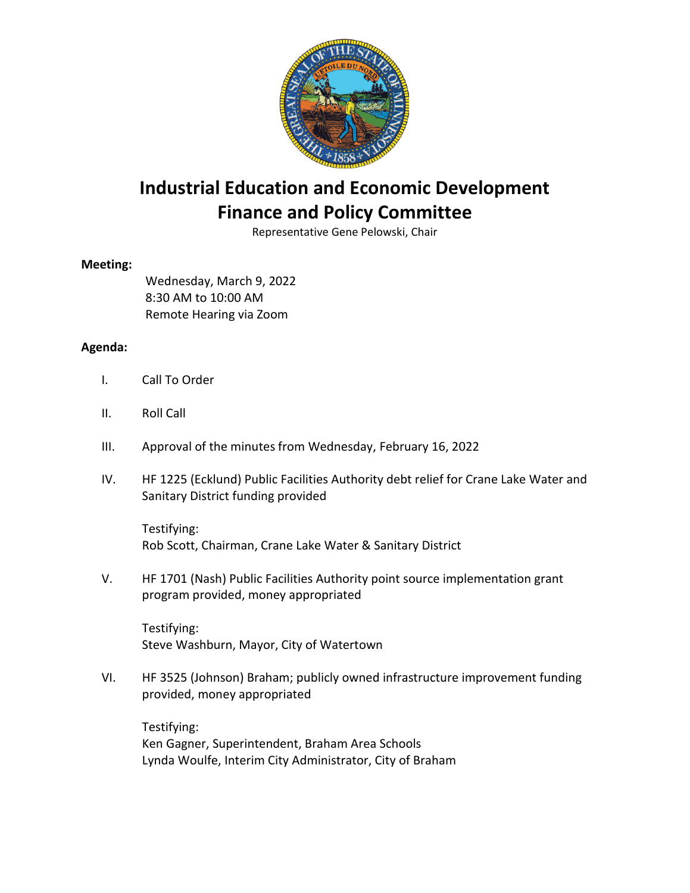

## **Industrial Education and Economic Development Finance and Policy Committee**

Representative Gene Pelowski, Chair

## **Meeting:**

Wednesday, March 9, 2022 8:30 AM to 10:00 AM Remote Hearing via Zoom

## **Agenda:**

- I. Call To Order
- II. Roll Call
- III. Approval of the minutes from Wednesday, February 16, 2022
- IV. HF 1225 (Ecklund) Public Facilities Authority debt relief for Crane Lake Water and Sanitary District funding provided

Testifying: Rob Scott, Chairman, Crane Lake Water & Sanitary District

V. HF 1701 (Nash) Public Facilities Authority point source implementation grant program provided, money appropriated

Testifying: Steve Washburn, Mayor, City of Watertown

VI. HF 3525 (Johnson) Braham; publicly owned infrastructure improvement funding provided, money appropriated

Testifying: Ken Gagner, Superintendent, Braham Area Schools Lynda Woulfe, Interim City Administrator, City of Braham